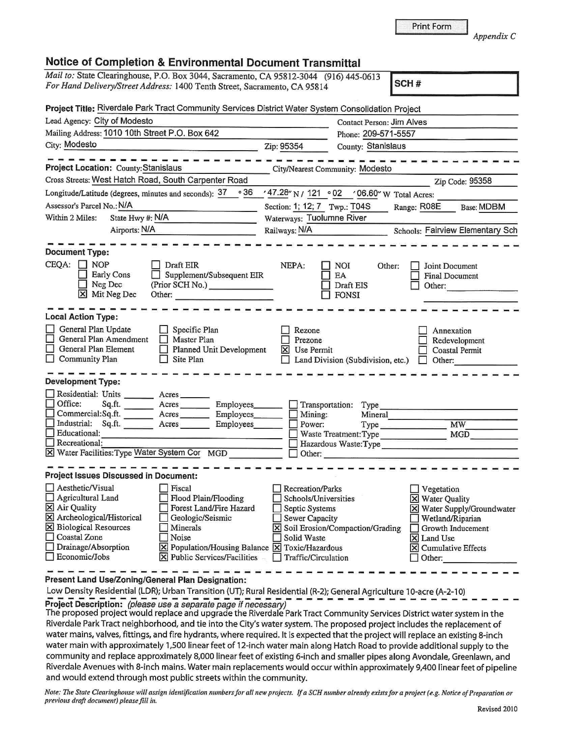| <b>Notice of Completion &amp; Environmental Document Transmittal</b>                                                                                                                                                                                                                                                                                                                                                                                                                                                             |                                                                                                                                                                       |                                                                                                                 | Appendix C                                                                                                                                                                 |
|----------------------------------------------------------------------------------------------------------------------------------------------------------------------------------------------------------------------------------------------------------------------------------------------------------------------------------------------------------------------------------------------------------------------------------------------------------------------------------------------------------------------------------|-----------------------------------------------------------------------------------------------------------------------------------------------------------------------|-----------------------------------------------------------------------------------------------------------------|----------------------------------------------------------------------------------------------------------------------------------------------------------------------------|
| Mail to: State Clearinghouse, P.O. Box 3044, Sacramento, CA 95812-3044 (916) 445-0613<br>For Hand Delivery/Street Address: 1400 Tenth Street, Sacramento, CA 95814                                                                                                                                                                                                                                                                                                                                                               |                                                                                                                                                                       |                                                                                                                 | SCH#                                                                                                                                                                       |
| Project Title: Riverdale Park Tract Community Services District Water System Consolidation Project                                                                                                                                                                                                                                                                                                                                                                                                                               |                                                                                                                                                                       |                                                                                                                 |                                                                                                                                                                            |
| Lead Agency: City of Modesto                                                                                                                                                                                                                                                                                                                                                                                                                                                                                                     |                                                                                                                                                                       | <b>Contact Person: Jim Alves</b>                                                                                |                                                                                                                                                                            |
| Mailing Address: 1010 10th Street P.O. Box 642                                                                                                                                                                                                                                                                                                                                                                                                                                                                                   | Phone: 209-571-5557                                                                                                                                                   |                                                                                                                 |                                                                                                                                                                            |
| City: Modesto                                                                                                                                                                                                                                                                                                                                                                                                                                                                                                                    | Zip: 95354                                                                                                                                                            | County: Stanislaus                                                                                              |                                                                                                                                                                            |
| Project Location: County: Stanislaus                                                                                                                                                                                                                                                                                                                                                                                                                                                                                             | City/Nearest Community: Modesto                                                                                                                                       |                                                                                                                 |                                                                                                                                                                            |
| Cross Streets: West Hatch Road, South Carpenter Road                                                                                                                                                                                                                                                                                                                                                                                                                                                                             |                                                                                                                                                                       |                                                                                                                 | Zip Code: 95358                                                                                                                                                            |
| $\circ$ 36<br>Longitude/Latitude (degrees, minutes and seconds): 37                                                                                                                                                                                                                                                                                                                                                                                                                                                              | $47.28''$ N / 121 $\circ$ 02                                                                                                                                          | '06.60" W Total Acres:                                                                                          |                                                                                                                                                                            |
| Assessor's Parcel No.: N/A                                                                                                                                                                                                                                                                                                                                                                                                                                                                                                       | Section: 1; 12; 7 Twp.: T04S                                                                                                                                          |                                                                                                                 | Range: R08E<br>Base: MDBM                                                                                                                                                  |
| Within 2 Miles:<br>State Hwy #: N/A                                                                                                                                                                                                                                                                                                                                                                                                                                                                                              | Waterways: Tuolumne River                                                                                                                                             |                                                                                                                 |                                                                                                                                                                            |
| Airports: N/A                                                                                                                                                                                                                                                                                                                                                                                                                                                                                                                    | Railways: N/A                                                                                                                                                         |                                                                                                                 | Schools: Fairview Elementary Sch                                                                                                                                           |
| <b>Document Type:</b><br>CEQA:<br><b>NOP</b><br>Draft EIR<br>Early Cons<br>Supplement/Subsequent EIR<br>Neg Dec<br>(Prior SCH No.)<br>lхl<br>Mit Neg Dec<br>Other:<br><b>Local Action Type:</b><br>General Plan Update<br>Specific Plan<br>General Plan Amendment<br>Master Plan<br>General Plan Element<br>Planned Unit Development<br><b>Community Plan</b><br>Site Plan<br><b>Development Type:</b><br>Residential: Units<br>Acres<br>Office:<br>Sq.fit.<br>Acres<br>Employees_<br>Commercial:Sq.ft.<br>Employees<br>$A$ cres | NEPA:<br>Rezone<br>Prezone<br>Use Permit<br>×l<br>Transportation:                                                                                                     | <b>NOI</b><br>Other:<br>EA<br>Draft EIS<br><b>FONSI</b><br>Land Division (Subdivision, etc.)<br>Type<br>Mineral | Joint Document<br><b>Final Document</b><br>Other:<br>Annexation<br>Redevelopment<br><b>Coastal Permit</b><br>Other:                                                        |
| Industrial: Sq.ft.<br>Acres<br>Employees                                                                                                                                                                                                                                                                                                                                                                                                                                                                                         | Mining:<br>Power:                                                                                                                                                     | Type                                                                                                            | MW                                                                                                                                                                         |
| Educational:                                                                                                                                                                                                                                                                                                                                                                                                                                                                                                                     |                                                                                                                                                                       | Waste Treatment: Type                                                                                           | MGD                                                                                                                                                                        |
| Recreational:                                                                                                                                                                                                                                                                                                                                                                                                                                                                                                                    |                                                                                                                                                                       | Hazardous Waste: Type                                                                                           |                                                                                                                                                                            |
| X Water Facilities: Type Water System Cor MGD                                                                                                                                                                                                                                                                                                                                                                                                                                                                                    | Other:                                                                                                                                                                |                                                                                                                 |                                                                                                                                                                            |
| Project Issues Discussed in Document:                                                                                                                                                                                                                                                                                                                                                                                                                                                                                            |                                                                                                                                                                       |                                                                                                                 |                                                                                                                                                                            |
| Aesthetic/Visual<br>Fiscal<br>Agricultural Land<br>Flood Plain/Flooding<br>X Air Quality<br><b>Forest Land/Fire Hazard</b><br>X Archeological/Historical<br>Geologic/Seismic<br><b>X</b> Biological Resources<br>Minerals<br>$\Box$<br>Coastal Zone<br>Noise<br>Drainage/Absorption<br>X Population/Housing Balance X Toxic/Hazardous<br>$\Box$ Economic/Jobs<br>X Public Services/Facilities                                                                                                                                    | <b>Recreation/Parks</b><br>Schools/Universities<br>Septic Systems<br><b>Sewer Capacity</b><br>X Soil Erosion/Compaction/Grading<br>Solid Waste<br>Traffic/Circulation |                                                                                                                 | Vegetation<br>X Water Quality<br>X Water Supply/Groundwater<br>Wetland/Riparian<br>Growth Inducement<br>X Land Use<br>$\overline{\mathsf{x}}$ Cumulative Effects<br>Other: |

**Present Land Use/Zoning/General Plan Designation:** 

Low Density Residential (LDR); Urban Transition (UT); Rural Residential (R-2); General Agriculture 10-acre (A-2-10)

Project Description: (please use a separate page if necessary)<br>The proposed project would replace and upgrade the Riverdale Park Tract Community Services District water system in the Riverdale Park Tract neighborhood, and tie into the City's water system. The proposed project includes the replacement of water mains, valves, fittings, and fire hydrants, where required. It is expected that the project will replace an existing 8-inch water main with approximately 1,500 linear feet of 12-inch water main along Hatch Road to provide additional supply to the community and replace approximately 8,000 linear feet of existing 6-inch and smaller pipes along Avondale, Greenlawn, and Riverdale Avenues with 8-inch mains. Water main replacements would occur within approximately 9,400 linear feet of pipeline and would extend through most public streets within the community.

*Note: The State Clearinghouse will assign identification numbers for all new projects. If a SCH number already exists for a project (e.g. Notice of Preparation or previous draft document) please fill in.* 

Print Form